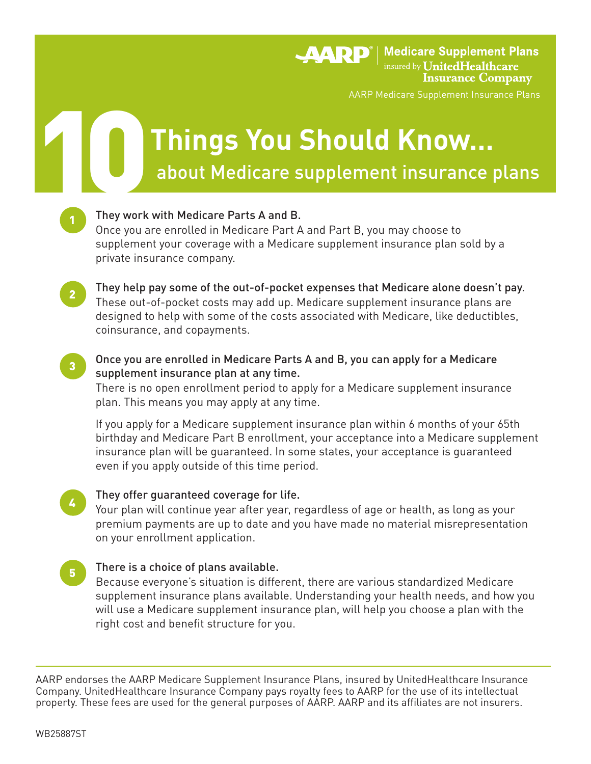**AARP**<sup>®</sup> | Medicare Supplement Plans insured by **UnitedHealthcare Insurance Company** 

AARP Medicare Supplement Insurance Plans

# Things You Should Know... **Things You Should Know…**

They work with Medicare Parts A and B.

 Once you are enrolled in Medicare Part A and Part B, you may choose to supplement your coverage with a Medicare supplement insurance plan sold by a private insurance company.

They help pay some of the out-of-pocket expenses that Medicare alone doesn't pay. These out-of-pocket costs may add up. Medicare supplement insurance plans are designed to help with some of the costs associated with Medicare, like deductibles, coinsurance, and copayments.

 Once you are enrolled in Medicare Parts A and B, you can apply for a Medicare supplement insurance plan at any time. 3

 There is no open enrollment period to apply for a Medicare supplement insurance plan. This means you may apply at any time.

 If you apply for a Medicare supplement insurance plan within 6 months of your 65th birthday and Medicare Part B enrollment, your acceptance into a Medicare supplement insurance plan will be guaranteed. In some states, your acceptance is guaranteed even if you apply outside of this time period.

- They offer guaranteed coverage for life. Your plan will continue year after year, regardless of age or health, as long as your premium payments are up to date and you have made no material misrepresentation on your enrollment application. 4
- There is a choice of plans available. Because everyone's situation is different, there are various standardized Medicare supplement insurance plans available. Understanding your health needs, and how you will use a Medicare supplement insurance plan, will help you choose a plan with the right cost and benefit structure for you. 5

AARP endorses the AARP Medicare Supplement Insurance Plans, insured by UnitedHealthcare Insurance Company. UnitedHealthcare Insurance Company pays royalty fees to AARP for the use of its intellectual property. These fees are used for the general purposes of AARP. AARP and its affiliates are not insurers.

2

1